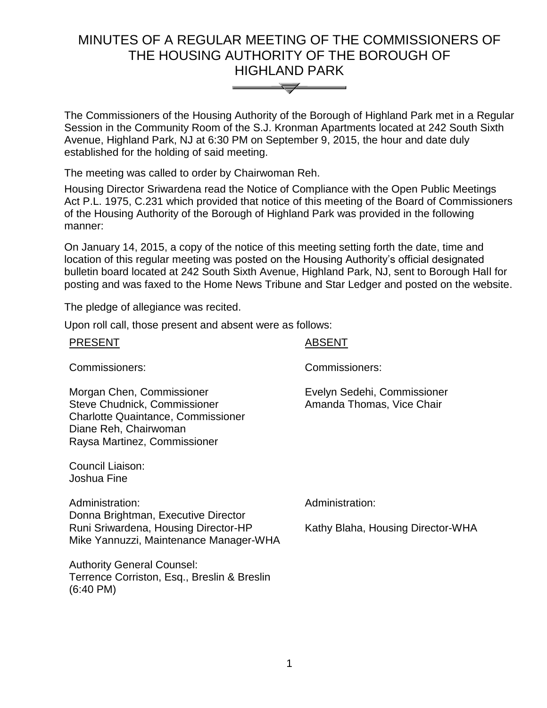# MINUTES OF A REGULAR MEETING OF THE COMMISSIONERS OF THE HOUSING AUTHORITY OF THE BOROUGH OF HIGHLAND PARK



The Commissioners of the Housing Authority of the Borough of Highland Park met in a Regular Session in the Community Room of the S.J. Kronman Apartments located at 242 South Sixth Avenue, Highland Park, NJ at 6:30 PM on September 9, 2015, the hour and date duly established for the holding of said meeting.

The meeting was called to order by Chairwoman Reh.

Housing Director Sriwardena read the Notice of Compliance with the Open Public Meetings Act P.L. 1975, C.231 which provided that notice of this meeting of the Board of Commissioners of the Housing Authority of the Borough of Highland Park was provided in the following manner:

On January 14, 2015, a copy of the notice of this meeting setting forth the date, time and location of this regular meeting was posted on the Housing Authority's official designated bulletin board located at 242 South Sixth Avenue, Highland Park, NJ, sent to Borough Hall for posting and was faxed to the Home News Tribune and Star Ledger and posted on the website.

The pledge of allegiance was recited.

Upon roll call, those present and absent were as follows:

| <b>PRESENT</b>                                                                                                                                                         | <b>ABSENT</b>                                            |
|------------------------------------------------------------------------------------------------------------------------------------------------------------------------|----------------------------------------------------------|
| Commissioners:                                                                                                                                                         | Commissioners:                                           |
| Morgan Chen, Commissioner<br><b>Steve Chudnick, Commissioner</b><br><b>Charlotte Quaintance, Commissioner</b><br>Diane Reh, Chairwoman<br>Raysa Martinez, Commissioner | Evelyn Sedehi, Commissioner<br>Amanda Thomas, Vice Chair |
| Council Liaison:<br>Joshua Fine                                                                                                                                        |                                                          |
| Administration:                                                                                                                                                        | Administration:                                          |
| Donna Brightman, Executive Director<br>Runi Sriwardena, Housing Director-HP<br>Mike Yannuzzi, Maintenance Manager-WHA                                                  | Kathy Blaha, Housing Director-WHA                        |
| <b>Authority General Counsel:</b><br>Terrence Corriston, Esq., Breslin & Breslin<br>$(6:40 \text{ PM})$                                                                |                                                          |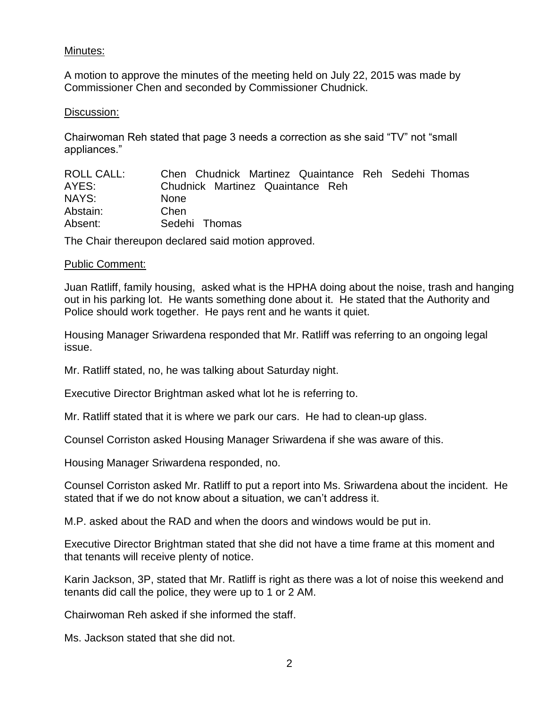## Minutes:

A motion to approve the minutes of the meeting held on July 22, 2015 was made by Commissioner Chen and seconded by Commissioner Chudnick.

#### Discussion:

Chairwoman Reh stated that page 3 needs a correction as she said "TV" not "small appliances."

| ROLL CALL: | Chen Chudnick Martinez Quaintance Reh Sedehi Thomas |
|------------|-----------------------------------------------------|
| AYES:      | Chudnick Martinez Quaintance Reh                    |
| NAYS:      | <b>None</b>                                         |
| Abstain:   | Chen                                                |
| Absent:    | Sedehi Thomas                                       |

The Chair thereupon declared said motion approved.

### Public Comment:

Juan Ratliff, family housing, asked what is the HPHA doing about the noise, trash and hanging out in his parking lot. He wants something done about it. He stated that the Authority and Police should work together. He pays rent and he wants it quiet.

Housing Manager Sriwardena responded that Mr. Ratliff was referring to an ongoing legal issue.

Mr. Ratliff stated, no, he was talking about Saturday night.

Executive Director Brightman asked what lot he is referring to.

Mr. Ratliff stated that it is where we park our cars. He had to clean-up glass.

Counsel Corriston asked Housing Manager Sriwardena if she was aware of this.

Housing Manager Sriwardena responded, no.

Counsel Corriston asked Mr. Ratliff to put a report into Ms. Sriwardena about the incident. He stated that if we do not know about a situation, we can't address it.

M.P. asked about the RAD and when the doors and windows would be put in.

Executive Director Brightman stated that she did not have a time frame at this moment and that tenants will receive plenty of notice.

Karin Jackson, 3P, stated that Mr. Ratliff is right as there was a lot of noise this weekend and tenants did call the police, they were up to 1 or 2 AM.

Chairwoman Reh asked if she informed the staff.

Ms. Jackson stated that she did not.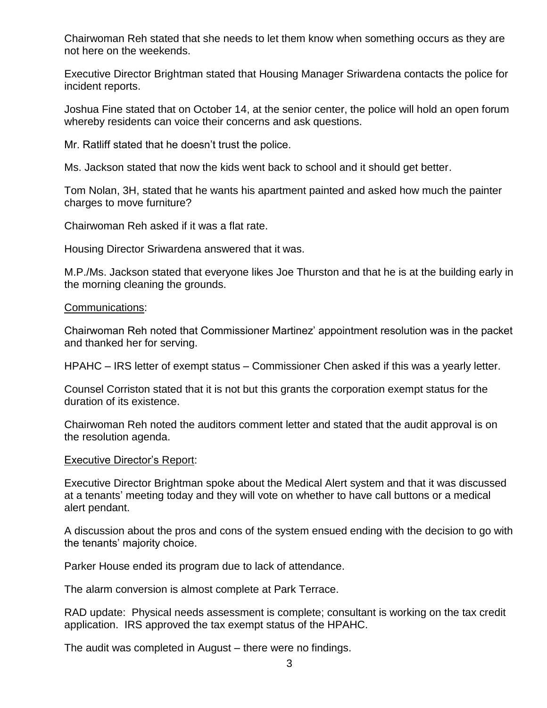Chairwoman Reh stated that she needs to let them know when something occurs as they are not here on the weekends.

Executive Director Brightman stated that Housing Manager Sriwardena contacts the police for incident reports.

Joshua Fine stated that on October 14, at the senior center, the police will hold an open forum whereby residents can voice their concerns and ask questions.

Mr. Ratliff stated that he doesn't trust the police.

Ms. Jackson stated that now the kids went back to school and it should get better.

Tom Nolan, 3H, stated that he wants his apartment painted and asked how much the painter charges to move furniture?

Chairwoman Reh asked if it was a flat rate.

Housing Director Sriwardena answered that it was.

M.P./Ms. Jackson stated that everyone likes Joe Thurston and that he is at the building early in the morning cleaning the grounds.

#### Communications:

Chairwoman Reh noted that Commissioner Martinez' appointment resolution was in the packet and thanked her for serving.

HPAHC – IRS letter of exempt status – Commissioner Chen asked if this was a yearly letter.

Counsel Corriston stated that it is not but this grants the corporation exempt status for the duration of its existence.

Chairwoman Reh noted the auditors comment letter and stated that the audit approval is on the resolution agenda.

#### Executive Director's Report:

Executive Director Brightman spoke about the Medical Alert system and that it was discussed at a tenants' meeting today and they will vote on whether to have call buttons or a medical alert pendant.

A discussion about the pros and cons of the system ensued ending with the decision to go with the tenants' majority choice.

Parker House ended its program due to lack of attendance.

The alarm conversion is almost complete at Park Terrace.

RAD update: Physical needs assessment is complete; consultant is working on the tax credit application. IRS approved the tax exempt status of the HPAHC.

The audit was completed in August – there were no findings.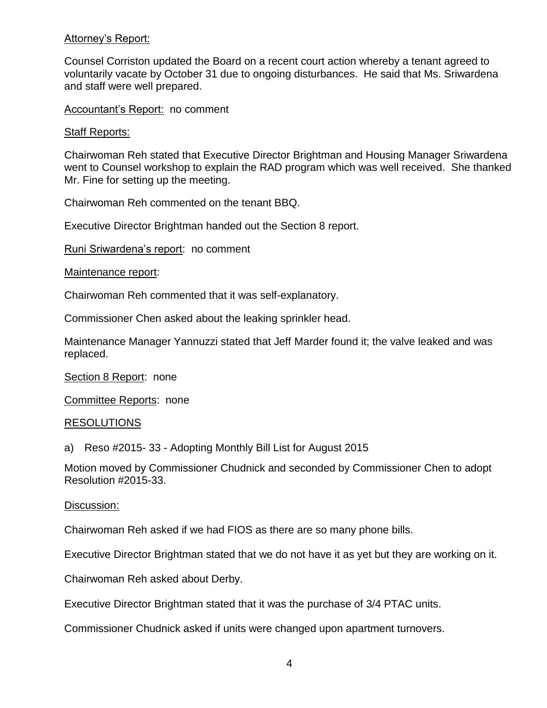## Attorney's Report:

Counsel Corriston updated the Board on a recent court action whereby a tenant agreed to voluntarily vacate by October 31 due to ongoing disturbances. He said that Ms. Sriwardena and staff were well prepared.

#### Accountant's Report: no comment

#### Staff Reports:

Chairwoman Reh stated that Executive Director Brightman and Housing Manager Sriwardena went to Counsel workshop to explain the RAD program which was well received. She thanked Mr. Fine for setting up the meeting.

Chairwoman Reh commented on the tenant BBQ.

Executive Director Brightman handed out the Section 8 report.

Runi Sriwardena's report: no comment

Maintenance report:

Chairwoman Reh commented that it was self-explanatory.

Commissioner Chen asked about the leaking sprinkler head.

Maintenance Manager Yannuzzi stated that Jeff Marder found it; the valve leaked and was replaced.

Section 8 Report: none

Committee Reports: none

#### RESOLUTIONS

a) Reso #2015- 33 - Adopting Monthly Bill List for August 2015

Motion moved by Commissioner Chudnick and seconded by Commissioner Chen to adopt Resolution #2015-33.

#### Discussion:

Chairwoman Reh asked if we had FIOS as there are so many phone bills.

Executive Director Brightman stated that we do not have it as yet but they are working on it.

Chairwoman Reh asked about Derby.

Executive Director Brightman stated that it was the purchase of 3/4 PTAC units.

Commissioner Chudnick asked if units were changed upon apartment turnovers.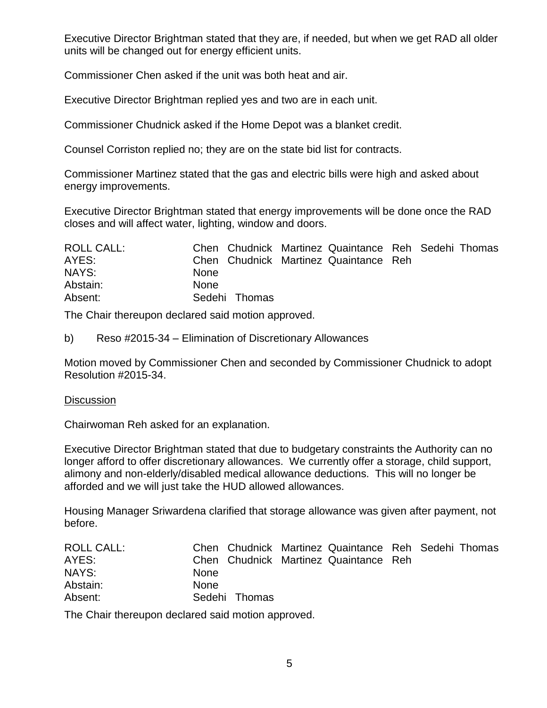Executive Director Brightman stated that they are, if needed, but when we get RAD all older units will be changed out for energy efficient units.

Commissioner Chen asked if the unit was both heat and air.

Executive Director Brightman replied yes and two are in each unit.

Commissioner Chudnick asked if the Home Depot was a blanket credit.

Counsel Corriston replied no; they are on the state bid list for contracts.

Commissioner Martinez stated that the gas and electric bills were high and asked about energy improvements.

Executive Director Brightman stated that energy improvements will be done once the RAD closes and will affect water, lighting, window and doors.

| <b>ROLL CALL:</b> |               | Chen Chudnick Martinez Quaintance Reh Sedehi Thomas |  |  |
|-------------------|---------------|-----------------------------------------------------|--|--|
| AYES:             |               | Chen Chudnick Martinez Quaintance Reh               |  |  |
| NAYS:             | None          |                                                     |  |  |
| Abstain:          | <b>None</b>   |                                                     |  |  |
| Absent:           | Sedehi Thomas |                                                     |  |  |

The Chair thereupon declared said motion approved.

b) Reso #2015-34 – Elimination of Discretionary Allowances

Motion moved by Commissioner Chen and seconded by Commissioner Chudnick to adopt Resolution #2015-34.

## **Discussion**

Chairwoman Reh asked for an explanation.

Executive Director Brightman stated that due to budgetary constraints the Authority can no longer afford to offer discretionary allowances. We currently offer a storage, child support, alimony and non-elderly/disabled medical allowance deductions. This will no longer be afforded and we will just take the HUD allowed allowances.

Housing Manager Sriwardena clarified that storage allowance was given after payment, not before.

| <b>ROLL CALL:</b> |             |               | Chen Chudnick Martinez Quaintance Reh Sedehi Thomas |  |  |
|-------------------|-------------|---------------|-----------------------------------------------------|--|--|
| AYES:             |             |               | Chen Chudnick Martinez Quaintance Reh               |  |  |
| NAYS:             | <b>None</b> |               |                                                     |  |  |
| Abstain:          | <b>None</b> |               |                                                     |  |  |
| Absent:           |             | Sedehi Thomas |                                                     |  |  |

The Chair thereupon declared said motion approved.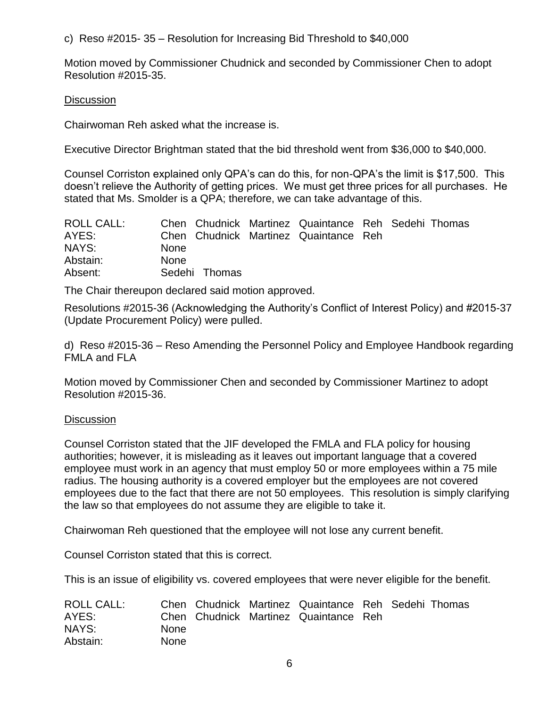c) Reso #2015- 35 – Resolution for Increasing Bid Threshold to \$40,000

Motion moved by Commissioner Chudnick and seconded by Commissioner Chen to adopt Resolution #2015-35.

## **Discussion**

Chairwoman Reh asked what the increase is.

Executive Director Brightman stated that the bid threshold went from \$36,000 to \$40,000.

Counsel Corriston explained only QPA's can do this, for non-QPA's the limit is \$17,500. This doesn't relieve the Authority of getting prices. We must get three prices for all purchases. He stated that Ms. Smolder is a QPA; therefore, we can take advantage of this.

| ROLL CALL: |             |               | Chen Chudnick Martinez Quaintance Reh Sedehi Thomas |  |  |
|------------|-------------|---------------|-----------------------------------------------------|--|--|
| AYES:      |             |               | Chen Chudnick Martinez Quaintance Reh               |  |  |
| NAYS:      | <b>None</b> |               |                                                     |  |  |
| Abstain:   | <b>None</b> |               |                                                     |  |  |
| Absent:    |             | Sedehi Thomas |                                                     |  |  |

The Chair thereupon declared said motion approved.

Resolutions #2015-36 (Acknowledging the Authority's Conflict of Interest Policy) and #2015-37 (Update Procurement Policy) were pulled.

d) Reso #2015-36 – Reso Amending the Personnel Policy and Employee Handbook regarding FMLA and FLA

Motion moved by Commissioner Chen and seconded by Commissioner Martinez to adopt Resolution #2015-36.

## **Discussion**

Counsel Corriston stated that the JIF developed the FMLA and FLA policy for housing authorities; however, it is misleading as it leaves out important language that a covered employee must work in an agency that must employ 50 or more employees within a 75 mile radius. The housing authority is a covered employer but the employees are not covered employees due to the fact that there are not 50 employees. This resolution is simply clarifying the law so that employees do not assume they are eligible to take it.

Chairwoman Reh questioned that the employee will not lose any current benefit.

Counsel Corriston stated that this is correct.

This is an issue of eligibility vs. covered employees that were never eligible for the benefit.

| <b>ROLL CALL:</b> |             |  | Chen Chudnick Martinez Quaintance Reh Sedehi Thomas |  |  |
|-------------------|-------------|--|-----------------------------------------------------|--|--|
| AYES:             |             |  | Chen Chudnick Martinez Quaintance Reh               |  |  |
| NAYS:             | <b>None</b> |  |                                                     |  |  |
| Abstain:          | <b>None</b> |  |                                                     |  |  |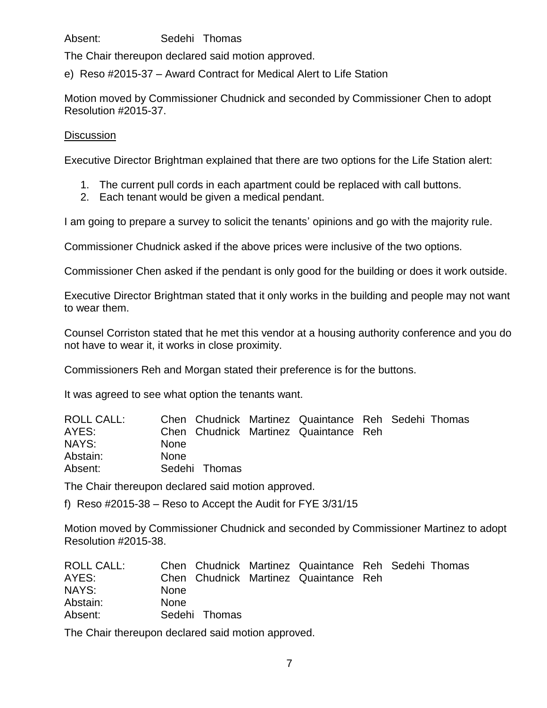Absent: Sedehi Thomas

The Chair thereupon declared said motion approved.

e) Reso #2015-37 – Award Contract for Medical Alert to Life Station

Motion moved by Commissioner Chudnick and seconded by Commissioner Chen to adopt Resolution #2015-37.

## **Discussion**

Executive Director Brightman explained that there are two options for the Life Station alert:

- 1. The current pull cords in each apartment could be replaced with call buttons.
- 2. Each tenant would be given a medical pendant.

I am going to prepare a survey to solicit the tenants' opinions and go with the majority rule.

Commissioner Chudnick asked if the above prices were inclusive of the two options.

Commissioner Chen asked if the pendant is only good for the building or does it work outside.

Executive Director Brightman stated that it only works in the building and people may not want to wear them.

Counsel Corriston stated that he met this vendor at a housing authority conference and you do not have to wear it, it works in close proximity.

Commissioners Reh and Morgan stated their preference is for the buttons.

It was agreed to see what option the tenants want.

| <b>ROLL CALL:</b> |             |               | Chen Chudnick Martinez Quaintance Reh Sedehi Thomas |  |  |
|-------------------|-------------|---------------|-----------------------------------------------------|--|--|
| AYES:             |             |               | Chen Chudnick Martinez Quaintance Reh               |  |  |
| NAYS:             | <b>None</b> |               |                                                     |  |  |
| Abstain:          | <b>None</b> |               |                                                     |  |  |
| Absent:           |             | Sedehi Thomas |                                                     |  |  |

The Chair thereupon declared said motion approved.

f) Reso #2015-38 – Reso to Accept the Audit for FYE 3/31/15

Motion moved by Commissioner Chudnick and seconded by Commissioner Martinez to adopt Resolution #2015-38.

| ROLL CALL: |             |               | Chen Chudnick Martinez Quaintance Reh Sedehi Thomas |  |  |
|------------|-------------|---------------|-----------------------------------------------------|--|--|
| AYES:      |             |               | Chen Chudnick Martinez Quaintance Reh               |  |  |
| NAYS:      | <b>None</b> |               |                                                     |  |  |
| Abstain:   | <b>None</b> |               |                                                     |  |  |
| Absent:    |             | Sedehi Thomas |                                                     |  |  |

The Chair thereupon declared said motion approved.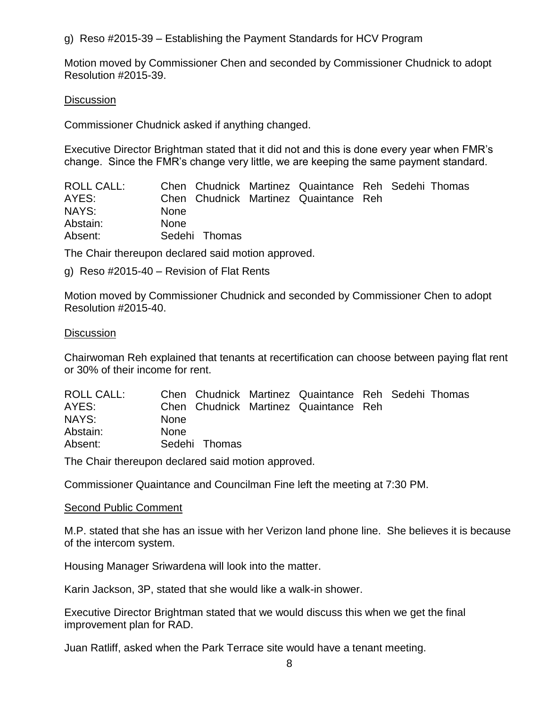g) Reso #2015-39 – Establishing the Payment Standards for HCV Program

Motion moved by Commissioner Chen and seconded by Commissioner Chudnick to adopt Resolution #2015-39.

## **Discussion**

Commissioner Chudnick asked if anything changed.

Executive Director Brightman stated that it did not and this is done every year when FMR's change. Since the FMR's change very little, we are keeping the same payment standard.

| ROLL CALL: |             |               | Chen Chudnick Martinez Quaintance Reh Sedehi Thomas |  |  |
|------------|-------------|---------------|-----------------------------------------------------|--|--|
| AYES:      |             |               | Chen Chudnick Martinez Quaintance Reh               |  |  |
| NAYS:      | <b>None</b> |               |                                                     |  |  |
| Abstain:   | <b>None</b> |               |                                                     |  |  |
| Absent:    |             | Sedehi Thomas |                                                     |  |  |

The Chair thereupon declared said motion approved.

g) Reso #2015-40 – Revision of Flat Rents

Motion moved by Commissioner Chudnick and seconded by Commissioner Chen to adopt Resolution #2015-40.

### **Discussion**

Chairwoman Reh explained that tenants at recertification can choose between paying flat rent or 30% of their income for rent.

| <b>ROLL CALL:</b> |             |               | Chen Chudnick Martinez Quaintance Reh Sedehi Thomas |  |  |
|-------------------|-------------|---------------|-----------------------------------------------------|--|--|
| AYES:             |             |               | Chen Chudnick Martinez Quaintance Reh               |  |  |
| NAYS:             | <b>None</b> |               |                                                     |  |  |
| Abstain:          | <b>None</b> |               |                                                     |  |  |
| Absent:           |             | Sedehi Thomas |                                                     |  |  |

The Chair thereupon declared said motion approved.

Commissioner Quaintance and Councilman Fine left the meeting at 7:30 PM.

## Second Public Comment

M.P. stated that she has an issue with her Verizon land phone line. She believes it is because of the intercom system.

Housing Manager Sriwardena will look into the matter.

Karin Jackson, 3P, stated that she would like a walk-in shower.

Executive Director Brightman stated that we would discuss this when we get the final improvement plan for RAD.

Juan Ratliff, asked when the Park Terrace site would have a tenant meeting.